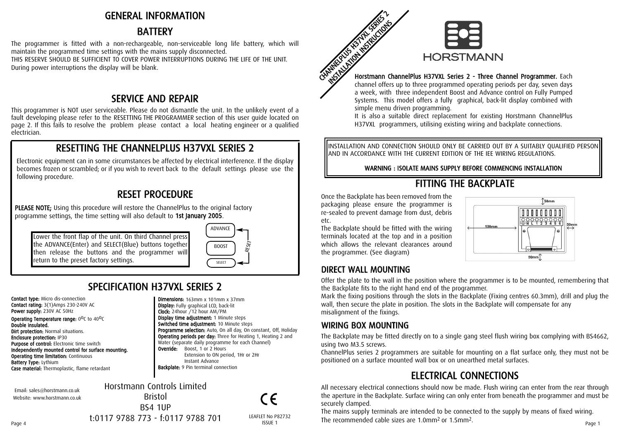## GENERAL INFORMATION

# BATTERY

The programmer is fitted with a non-rechargeable, non-serviceable long life battery, which will maintain the programmed time settings with the mains supply disconnected. THIS RESERVE SHOULD BE SUFFICIENT TO COVER POWER INTERRUPTIONS DURING THE LIFE OF THE UNIT. During power interruptions the display will be blank.

## SER VICE A N D REP AIR

This programmer is NOT user serviceable. Please do not dismantle the unit. In the unlikely event of a fault developing please refer to the RESETTING THE PROGRAMMER section of this user guide located on page 2. If this fails to resolve the problem please contact a local heating engineer or a qualified electrician.

# RESETTING THE CHANNELPLUS H37VXL SERIES 2

Electronic equipment can in some circumstances be affected by electrical interference. If the display becomes frozen or scrambled; or if you wish to revert back to the default settings please use the following procedure.

# RESET PROCEDURE

PLEASE NOTE; Using this procedure will restore the ChannelPlus to the original factory programme settings, the time setting will also default to 1st January 2005.

Lower the front flap of the unit. On third Channel press the ADVANCE(Enter) and SELECT(Blue) buttons together then release the buttons and the programmer will return to the preset factory settings.



**Programme selection:** Auto, On all day, On constant, Off, Holiday Operating periods per day: Three for Heating 1, Heating 2 and Water (separate daily programme for each Channel)

 $\epsilon$ 

Extension to ON period, 1Hr or 2Hr

Dimensions: 163mm x 101mm x 37mm Display: Fully graphical LCD, back-lit Clock: 24hour /12 hour AM/PM Display time adjustment: 1 Minute steps Switched time adjustment: 10 Minute steps

**Override:** Boost, 1 or 2 Hours

Instant Advance Backplate: 9 Pin terminal connection

# S PECIFIC A TIO N H 3 7 V XL SERIES 2

Contact type: Micro dis-connection Contact rating: 3(1)Amps 230-240V AC Power supply: 230V AC 50Hz **Operating Temperature range:**  $0^0C$  to  $40^0C$ Double insulated. **Dirt protection: Normal situations.** Enclosure protection: IP30 Purpose of control: Electronic time switch Independently mounted control for surface mounting. **Operating time limitation: Continuous** Battery Type: Lythium Case material: Thermoplastic, flame retardant

Email: sales@horstmann.co.uk Website: www.horstmann.co.uk Horstmann Controls Limited Bristol BS4 1UP



#### Horstmann ChannelPlus H37VXL Series 2 - Three Channel Program mer. Each

channel offers up to three programmed operating periods per day, seven days a week, with three independent Boost and Advance control on Fully Pumped Systems. This model offers a fully graphical, back-lit display combined with simple menu driven programming.

It is also a suitable direct replacement for existing Horstmann ChannelPlus H37VXL programmers, utilising existing wiring and backplate connections.

INSTALLATION AND CONNECTION SHOULD ONLY BE CARRIED OUT BY A SUITABLY QUALIFIED PERSON AND IN ACCORDANCE WITH THE CURRENT EDITION OF THE IEE WIRING REGULATIONS.

#### WARNING : ISOLATE MAINS SUPPLY BEFORE COMMENCING INSTALLATION

# FITTING THE BACKPLATE

Once the Backplate has been removed from the packaging please ensure the programmer is re-sealed to prevent damage from dust, debris etc.

The Backplate should be fitted with the wiring terminals located at the top and in a position which allows the relevant clearances around the programmer. (See diagram)



## DIRECT WALL MOUNTING

Offer the plate to the wall in the position where the programmer is to be mounted, remembering that the Backplate fits to the right hand end of the programmer.

Mark the fixing positions through the slots in the Backplate (Fixing centres 60.3mm), drill and plug the wall, then secure the plate in position. The slots in the Backplate will compensate for any misalignment of the fixings.

## WIRING BOX MOUNTING

The Backplate may be fitted directly on to a single gang steel flush wiring box complying with BS4662, using two M3.5 screws.

ChannelPlus series 2 programmers are suitable for mounting on a flat surface only, they must not be positioned on a surface mounted wall box or on unearthed metal surfaces.

# ELECTRICAL CONNECTIONS

All necessary electrical connections should now be made. Flush wiring can enter from the rear through the aperture in the Backplate. Surface wiring can only enter from beneath the programmer and must be securely clamped.

The mains supply terminals are intended to be connected to the supply by means of fixed wiring.  $t:0117\,9788\,773$   $\cdot$   $f:0117\,9788\,701$  LEAFLET No P82732 The recommended cable sizes are 1.0mm<sup>2</sup> or 1.5mm<sup>2</sup>.

t:0117 9788 773 - f:0117 9788 701